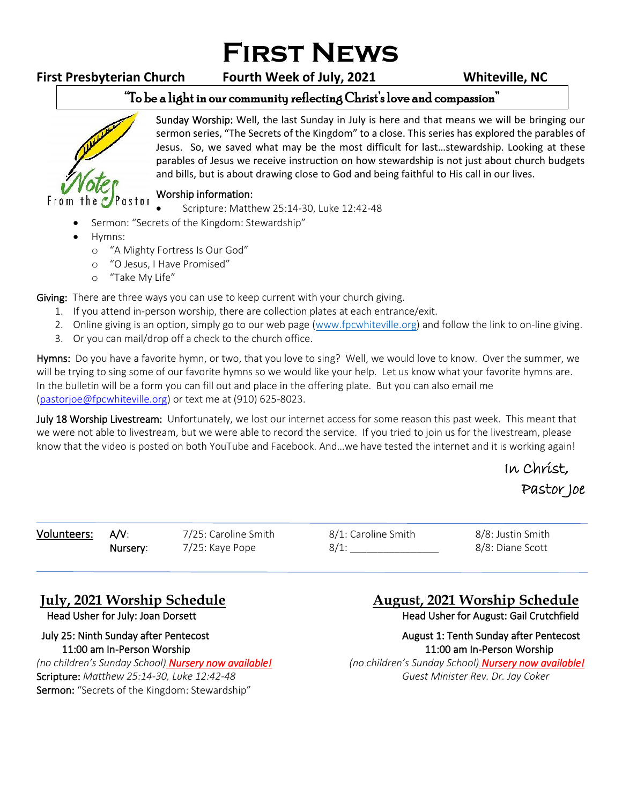# **First News**

# **First Presbyterian Church Fourth Week of July, 2021 Whiteville, NC**

### "To be a light in our community reflecting Christ's love and compassion" ֺ֝



Sunday Worship: Well, the last Sunday in July is here and that means we will be bringing our sermon series, "The Secrets of the Kingdom" to a close. This series has explored the parables of Jesus. So, we saved what may be the most difficult for last…stewardship. Looking at these parables of Jesus we receive instruction on how stewardship is not just about church budgets and bills, but is about drawing close to God and being faithful to His call in our lives.

## Worship information:

• Scripture: Matthew 25:14-30, Luke 12:42-48

- Sermon: "Secrets of the Kingdom: Stewardship"
- Hymns:
	- o "A Mighty Fortress Is Our God"
	- o "O Jesus, I Have Promised"
	- o "Take My Life"

Giving: There are three ways you can use to keep current with your church giving.

- 1. If you attend in-person worship, there are collection plates at each entrance/exit.
- 2. Online giving is an option, simply go to our web page [\(www.fpcwhiteville.org](http://www.fpcwhiteville.ort/)) and follow the link to on-line giving.
- 3. Or you can mail/drop off a check to the church office.

Hymns: Do you have a favorite hymn, or two, that you love to sing? Well, we would love to know. Over the summer, we will be trying to sing some of our favorite hymns so we would like your help. Let us know what your favorite hymns are. In the bulletin will be a form you can fill out and place in the offering plate. But you can also email me [\(pastorjoe@fpcwhiteville.org\)](file:///C:/Users/Valued%20Customer/Desktop/pastorjoe@fpcwhiteville.org) or text me at (910) 625-8023.

July 18 Worship Livestream: Unfortunately, we lost our internet access for some reason this past week. This meant that we were not able to livestream, but we were able to record the service. If you tried to join us for the livestream, please know that the video is posted on both YouTube and Facebook. And…we have tested the internet and it is working again!

# In Christ, Pastor Joe

i

Volunteers: A/V: 7/25: Caroline Smith 8/1: Caroline Smith 8/8: Justin Smith Nursery: 7/25: Kaye Pope 8/1: 8/8: Diane Scott

*(no children's Sunday School) Nursery now available! (no children's Sunday School) Nursery now available!* Scripture: *Matthew 25:14-30, Luke 12:42-48 Guest Minister Rev. Dr. Jay Coker* Sermon: "Secrets of the Kingdom: Stewardship"

# **July, 2021 Worship Schedule August, 2021 Worship Schedule**

Head Usher for July: Joan Dorsett **Head Usher for August: Gail Crutchfield** 

 July 25: Ninth Sunday after Pentecost August 1: Tenth Sunday after Pentecost 11:00 am In-Person Worship 11:00 am In-Person Worship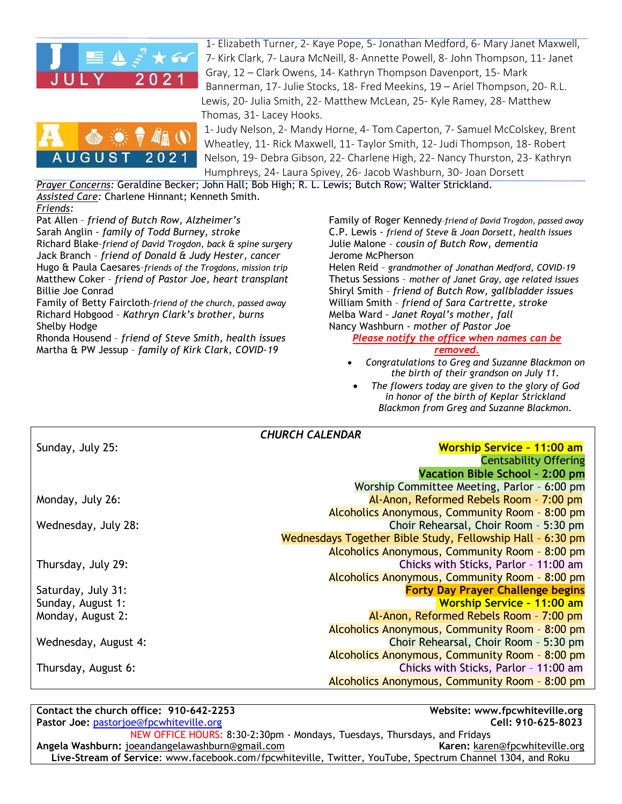

1- Elizabeth Turner, 2- Kaye Pope, 5- Jonathan Medford, 6- Mary Janet Maxwell, 7- Kirk Clark, 7- Laura McNeill, 8- Annette Powell, 8- John Thompson, 11- Janet Gray, 12 – Clark Owens, 14- Kathryn Thompson Davenport, 15- Mark Bannerman, 17- Julie Stocks, 18- Fred Meekins, 19 – Ariel Thompson, 20- R.L. Lewis, 20- Julia Smith, 22- Matthew McLean, 25- Kyle Ramey, 28- Matthew Thomas, 31- Lacey Hooks.



1- Judy Nelson, 2- Mandy Horne, 4- Tom Caperton, 7- Samuel McColskey, Brent Wheatley, 11- Rick Maxwell, 11- Taylor Smith, 12- Judi Thompson, 18- Robert Nelson, 19- Debra Gibson, 22- Charlene High, 22- Nancy Thurston, 23- Kathryn Humphreys, 24- Laura Spivey, 26- Jacob Washburn, 30- Joan Dorsett

*Prayer Concerns:* Geraldine Becker; John Hall; Bob High; R. L. Lewis; Butch Row; Walter Strickland. *Assisted Care:* Charlene Hinnant; Kenneth Smith.

*Friends:* Pat Allen – *friend of Butch Row, Alzheimer's*  Sarah Anglin - *family of Todd Burney, stroke* Richard Blake–*friend of David Trogdon, back & spine surgery* Jack Branch – *friend of Donald & Judy Hester, cancer* Hugo & Paula Caesares–*friends of the Trogdons, mission trip* Matthew Coker – *friend of Pastor Joe, heart transplant* Billie Joe Conrad

Family of Betty Faircloth*–friend of the church, passed away* Richard Hobgood – *Kathryn Clark's brother, burns* Shelby Hodge

Rhonda Housend – *friend of Steve Smith, health issues* Martha & PW Jessup – *family of Kirk Clark, COVID-19*

Family of Roger Kennedy–*friend of David Trogdon, passed away* C.P. Lewis - *friend of Steve & Joan Dorsett, health issues* Julie Malone – *cousin of Butch Row, dementia* Jerome McPherson

Helen Reid – *grandmother of Jonathan Medford, COVID-19* Thetus Sessions – *mother of Janet Gray, age related issues* Shiryl Smith – *friend of Butch Row, gallbladder issues* William Smith – *friend of Sara Cartrette, stroke* Melba Ward *– Janet Royal's mother, fall* Nancy Washburn - *mother of Pastor Joe Please notify the office when names can be* 

### *removed.*

- *Congratulations to Greg and Suzanne Blackmon on the birth of their grandson on July 11.*
- *The flowers today are given to the glory of God in honor of the birth of Keplar Strickland Blackmon from Greg and Suzanne Blackmon.*

| <b>CHURCH CALENDAR</b> |                                                            |
|------------------------|------------------------------------------------------------|
| Sunday, July 25:       | <b>Worship Service - 11:00 am</b>                          |
|                        | Centsability Offering                                      |
|                        | Vacation Bible School - 2:00 pm                            |
|                        | Worship Committee Meeting, Parlor - 6:00 pm                |
| Monday, July 26:       | Al-Anon, Reformed Rebels Room - 7:00 pm                    |
|                        | Alcoholics Anonymous, Community Room - 8:00 pm             |
| Wednesday, July 28:    | Choir Rehearsal, Choir Room - 5:30 pm                      |
|                        | Wednesdays Together Bible Study, Fellowship Hall - 6:30 pm |
|                        | Alcoholics Anonymous, Community Room - 8:00 pm             |
| Thursday, July 29:     | Chicks with Sticks, Parlor - 11:00 am                      |
|                        | Alcoholics Anonymous, Community Room - 8:00 pm             |
| Saturday, July 31:     | <b>Forty Day Prayer Challenge begins</b>                   |
| Sunday, August 1:      | <b>Worship Service - 11:00 am</b>                          |
| Monday, August 2:      | Al-Anon, Reformed Rebels Room - 7:00 pm                    |
|                        | Alcoholics Anonymous, Community Room - 8:00 pm             |
| Wednesday, August 4:   | Choir Rehearsal, Choir Room - 5:30 pm                      |
|                        | Alcoholics Anonymous, Community Room - 8:00 pm             |
| Thursday, August 6:    | Chicks with Sticks, Parlor - 11:00 am                      |
|                        | Alcoholics Anonymous, Community Room - 8:00 pm             |

**Contact the church office: 910-642-2253 Website: www.fpcwhiteville.org Pastor Joe:** [pastorjoe@fpcwhiteville.org](mailto:pastorjoe@fpcwhiteville.org) **Cell: 910-625-8023** NEW OFFICE HOURS: 8:30-2:30pm - Mondays, Tuesdays, Thursdays, and Fridays **Angela Washburn:** joeandangelawashburn@gmail.com **Karen:** [karen@fpcwhiteville.org](mailto:karen@fpcwhiteville.org) **Live-Stream of Service**: www.facebook.com/fpcwhiteville, Twitter, YouTube, Spectrum Channel 1304, and Roku